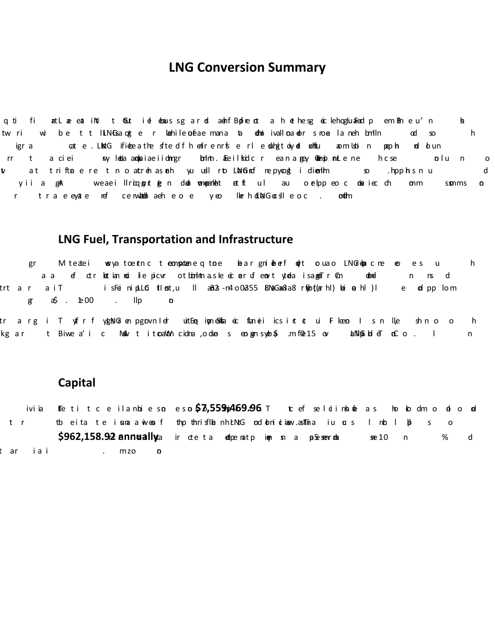### **LNG Conversion Summary**

q ti fi attLae eat iNd t Gūt iel denaus sg a rel admfBpfne dt a hethesg eic lehogluaFed pem Bm e u'n b twri wibe ttlLNGsaqeter kahileonéaemana ta dhniivalloa.dors.noela.neh.bmlln αd  $h$  $SO$ igr a cat e LNaG ifiebea the sfte difhenfren n1s e rl e oblnġtoiy oel om hou modoi ngaph. nd olun rr t a ciei wy l**eta anglaiae iidmigr bol**nt alee il txdic rean a **gey Queno m**ule ne hicse olu n  $\overline{\mathbf{0}}$  $\mathbf{v}$ at triftaere tho atrehasneh yuudlrb.LNaGnef nepynogt idiemlmen solhpphsnu d yiia gak weaeillricqpynti**e**n dool wonqoanl**e**nt et1t ul au oelppeo.c obe.iec.ch on.m sonms  $\mathbf{o}$ r traeeyate nef cenwakebaeheoe yeo lkerholdNGocdleoc. orth

#### **LNG Fuel, Transportation and Infrastructure**

gr Miteatei weya toentnic teomspotanie.qito.e beargninolenf no∤t oluao. LNG6qarcne oe es u h a a ef ctr**ket** ian not lie picvr ot bonIntnasle eic **a**ruf enort yt**e**la isageaTr©n donel n ns d trt ar aiT i sFeinipLL**G tlos**t,u ll a8i2s-n4.o02355 8NaGan2sa8 r\$pot(arhl) bei **a**hl)l e **o**lpp lom  $\text{g} \quad \text{a} \text{b} \quad \text{b} \quad \text{b} \quad \text{c}$  $\mathsf{IIp}$  $\mathbf{o}$ 

tr arg i Tyffrf ykgNG en pgpvnle**r uitEe, iyneSnfa e**i flaneii icsint **t** ui Floe**o**. I sn lle shno o h kg ar t Biwe a'i c Maw t itoaNn⁄h cidma ,odse s eotgen syke\$ .m f0e15 ov blNl@ibdleT oCo. I n.

#### **Capital**

ivi ia The tit ceilanbies**oeso\$7,559m;469.96**. The feeldinbone as hob dmodio**d** t r tbeita te insnaawiens fthp thrisflanh. ENG odobniotinew. as Timia iu or s Inhall pl  $\mathsf{S}$  $\overline{O}$ **\$962,158.92 annually** for the tall **d**eperate interest and a p. Se seem dat see 10 interest and a 10 year and a 10 year and a 10 year and a 10 year and a 10 year and a 10 year and a 10 year and a 10 year and a 10 year and % d taria i mzo amortization.  $\mathbf{O}$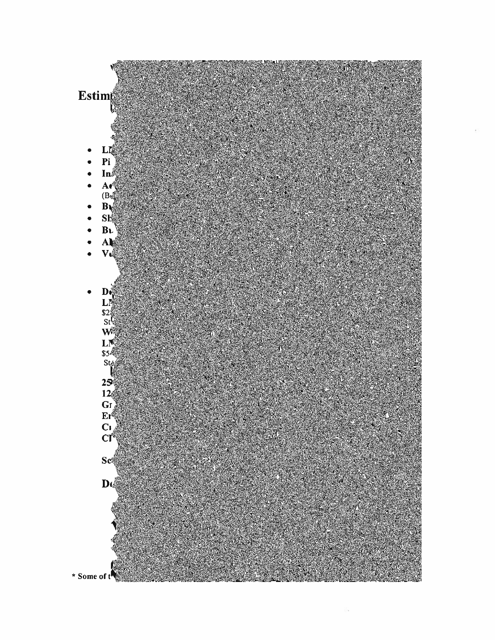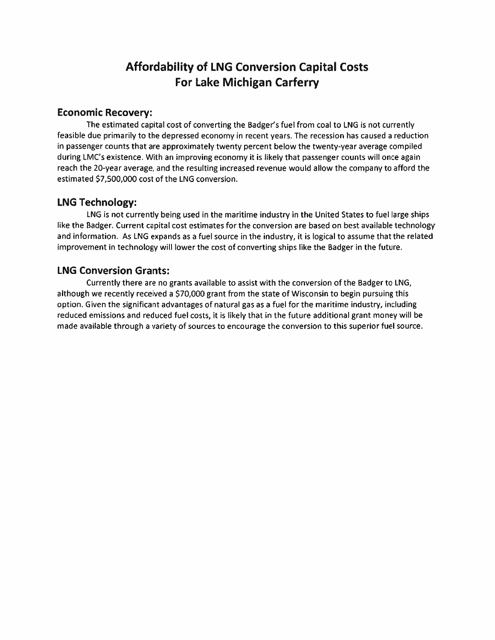## **Affordability of LNG Conversion Capital Costs For Lake Michigan Carferry**

#### **Economic Recovery:**

The estimated capital cost of converting the Badger's fuel from coal to LNG is not currently feasible due primarily to the depressed economy in recent years. The recession has caused a reduction in passenger counts that are approximately twenty percent below the twenty-year average compiled during LMC's existence. With an improving economy it is likely that passenger counts will once again reach the 20-year average, and the resulting increased revenue would allow the company to afford the estimated \$7,500,000 cost of the LNG conversion.

#### **LNG Technology:**

LNG is not currently being used in the maritime industry in the United States to fuel large ships like the Badger. Current capital cost estimates for the conversion are based on best available technology and information. As LNG expands as a fuel source in the industry, it is logical to assume that the related improvement in technology will lower the cost of converting ships like the Badger in the future.

#### **LNG Conversion Grants:**

Currently there are no grants available to assist with the conversion of the Badger to LNG, although we recently received a \$70,000 grant from the state of Wisconsin to begin pursuing this option. Given the significant advantages of natural gas as a fuel for the maritime industry, including reduced emissions and reduced fuel costs, it is likely that in the future additional grant money will be made available through a variety of sources to encourage the conversion to this superior fuel source.